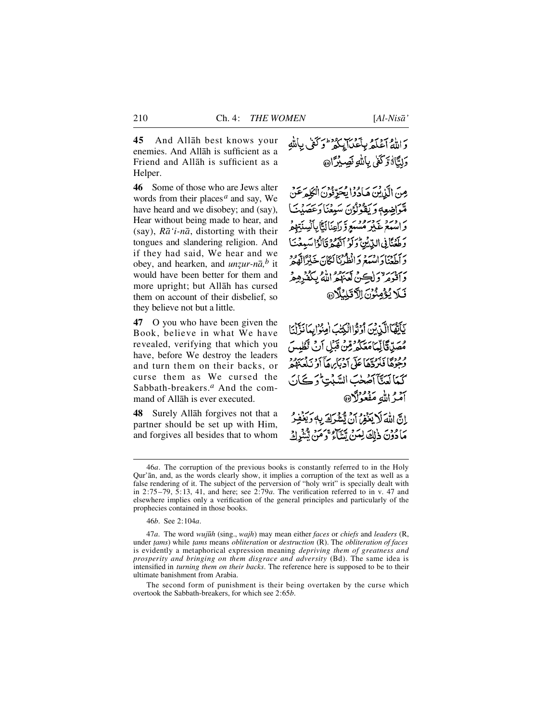**4 5** And Allåh best knows your enemies. And Allåh is sufficient as a Friend and Allåh is sufficient as a Helper.

**46** Some of those who are Jews alter words from their places*<sup>a</sup>* and say, We have heard and we disobey; and (say), Hear without being made to hear, and (say),  $R\bar{a}'$  *i-n* $\bar{a}$ , distorting with their tongues and slandering religion. And if they had said, We hear and we obey, and hearken, and *unzur-nā*,<sup>*b*</sup> it would have been better for them and more upright; but Allåh has cursed them on account of their disbelief, so they believe not but a little.

**47** O you who have been given the Book, believe in what We have revealed, verifying that which you have, before We destroy the leaders and turn them on their backs, or curse them as We cursed the Sabbath-breakers.<sup>*a*</sup> And the command of Allåh is ever executed.

**48** Surely Allåh forgives not that a partner should be set up with Him, and forgives all besides that to whom

وَاللَّهُ أَعْلَمُهُ بِأَعْدَابِكُمْ وَكَفَّى بِأَللَّهِ وَلِتَّاهُ وَكَفَىٰ بِاللَّهِ نَصِبِيْرَاهِ،

مِنَ الَّذِينَ هَادُوْا يُحَرِّثُونَ الْكَلِّمَ عَنْ مْتَوَاضِعِهِ وَيَقُوْلُوْنَ سَبِعْنَا وَعَصَبْتَنَا ر وبرد بردرود بر براي الثايا السنتيهم<br>واسمع غير مستع راي الثايا لسنتيهم وَطَعُنَّانِي الدِّيْنِ وَلَوْ أَنَّهُمْ قَالُوْا سَبِعْنَا برسمة السدور انطرنا ككان خيرالده بروسر ولكن تعنده الأوبيكنروم فَيَلَا يُؤْمِنُوْنَ الْآقَلِنُلَّارَ ﴾

يَأَيُّهَا أَكَّذِينَ أَوَثَوا الْكِتَبَ أَمِنُوْا بِدَانَةٍ أَنَّا مُصَدِّدَةَ إِيِّمَا مَعَكُمْ قِنْ قَبَلِ أَنْ تَظْهِينَ <sup>و و</sup>دوا فَيَرْدَّهَا عَلَى دَرْيَا هَا أَوْ نَدْمَ دُورٍ كمآلعتنآ أضخت السّنين وكان آمَرُ اللهِ مَفْعُوْلَا@

إِنَّ اللَّهَ لَا يَغْفِرُ إِنْ تَشْرَكَ بِهِ وَيَغْفِرُ مَادُوْنَ ذٰلِكَ لِمَنْ يَتَنَاءُ وَمَنْ يُثَنِّرِكَ

46*b*. See 2:104*a*.

47*a*. The word *wuj∂h* (sing., *wajh*) may mean either *faces* or *chiefs* and *leaders* (R, under *∆ams*) while *∆ams* means *obliteration* or *destruction* (R). The *obliteration of faces* is evidently a metaphorical expression meaning *depriving them of greatness and prosperity and bringing on them disgrace and adversity* (Bd). The same idea is intensified in *turning them on their backs*. The reference here is supposed to be to their ultimate banishment from Arabia.

The second form of punishment is their being overtaken by the curse which overtook the Sabbath-breakers, for which see 2:65*b*.

<sup>4 6</sup>*a*. The corruption of the previous books is constantly referred to in the Holy Qur'ån, and, as the words clearly show, it implies a corruption of the text as well as a false rendering of it. The subject of the perversion of "holy writ" is specially dealt with in  $2:75-79$ ,  $5:13$ , 41, and here; see  $2:79a$ . The verification referred to in v. 47 and elsewhere implies only a verification of the general principles and particularly of the prophecies contained in those books.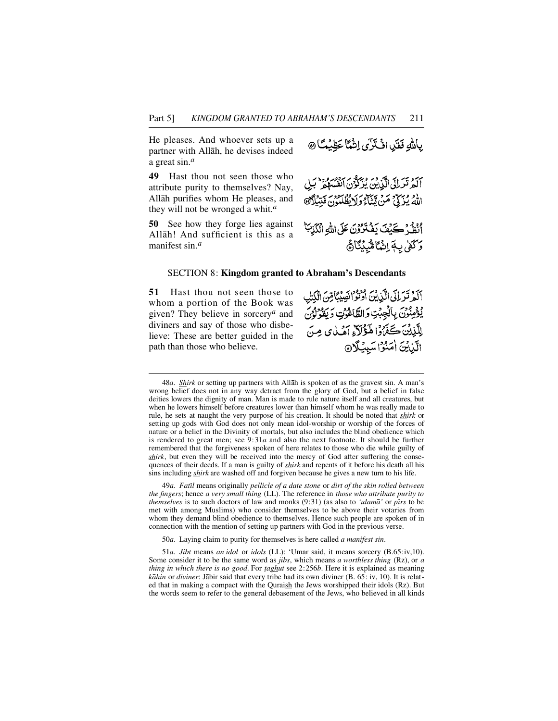He pleases. And whoever sets up a partner with Allåh, he devises indeed a great sin.*<sup>a</sup>*

**49** Hast thou not seen those who attribute purity to themselves? Nay, Allåh purifies whom He pleases, and they will not be wronged a whit.*<sup>a</sup>*

**50** See how they forge lies against Allåh! And sufficient is this as a manifest sin.*<sup>a</sup>*

بِإِلَّٰلَّهِ فَقَلِمَا انْتَمَرَّى إِنْهُمَّا عَظِيْمَةً ۞

بروت بر اي در پروتر برور دود.<br>المرتز ان الزين بُزكوٌن الفسهمُ بنِ اللهُ يُزَكِّيُّ مَنْ تَتَنَاءُ وَلَا يُظْلَمُونَ فَبَتِيْلًا۞ أَنْظُرُ كَيْفَ يَفْتَرُوْنَ عَلَى اللَّهِ الْكَيْابَةُ

وَكَفَىٰ بِـهَمْ إِنَّمَآ مُّبَيِّنَآ هُ

#### SECTION 8: **Kingdom granted to Abraham's Descendants**

**5 1** Hast thou not seen those to whom a portion of the Book was given? They believe in sorcery<sup>*a*</sup> and diviners and say of those who disbelieve: These are better guided in the path than those who believe.

أَلَمْ تَرَىٰلَى الَّذِينَ أَوْتَوْ انْصِيْبًا مِّنَ الْكِتَبِ يُؤْمِنُونَ بِالْجِهْتِ وَالطَّاعْوُتِ وَيَقُوْلُونَ لِلَّذِينَ كَفَرُوْا هَؤُلاَءِ أَهُلٰاي مِنَ الَّذِينَ امَنُوْاسَبِيُلَا

48*a*. *Shirk* or setting up partners with Allāh is spoken of as the gravest sin. A man's wrong belief does not in any way detract from the glory of God, but a belief in false deities lowers the dignity of man. Man is made to rule nature itself and all creatures, but when he lowers himself before creatures lower than himself whom he was really made to rule, he sets at naught the very purpose of his creation. It should be noted that *shirk* or setting up gods with God does not only mean idol-worship or worship of the forces of nature or a belief in the Divinity of mortals, but also includes the blind obedience which is rendered to great men; see 9:31*a* and also the next footnote. It should be further remembered that the forgiveness spoken of here relates to those who die while guilty of *shirk*, but even they will be received into the mercy of God after suffering the consequences of their deeds. If a man is guilty of *shirk* and repents of it before his death all his sins including *shirk* are washed off and forgiven because he gives a new turn to his life.

49*a*. *Fatßl* means originally *pellicle of a date stone* or *dirt of the skin rolled between the fingers*; hence *a very small thing* (LL). The reference in *those who attribute purity to themselves* is to such doctors of law and monks (9:31) (as also to *'ulam* $\bar{a}$ ' or *pirs* to be met with among Muslims) who consider themselves to be above their votaries from whom they demand blind obedience to themselves. Hence such people are spoken of in connection with the mention of setting up partners with God in the previous verse.

50*a*. Laying claim to purity for themselves is here called *a manifest sin*.

51*a*. *Jibt* means *an idol* or *idols* (LL): 'Umar said, it means sorcery (B.65:iv,10). Some consider it to be the same word as *jibs*, which means *a worthless thing* (Rz), or *a thing in which there is no good*. For *{* $\overline{a}$ *gh* $\overline{u}$ *t* see 2:256*b*. Here it is explained as meaning *kåhin* or *diviner*: Jåbir said that every tribe had its own diviner (B. 65: iv, 10). It is related that in making a compact with the Quraish the Jews worshipped their idols (Rz). But the words seem to refer to the general debasement of the Jews, who believed in all kinds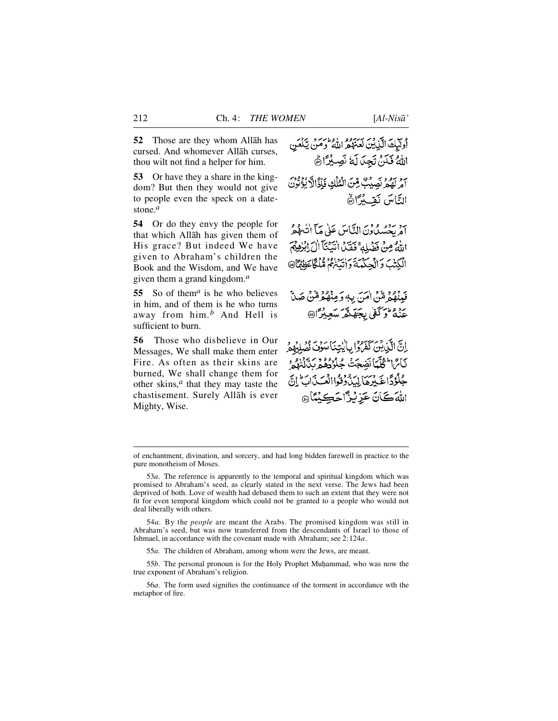**52** Those are they whom Allåh has cursed. And whomever Allåh curses, thou wilt not find a helper for him.

**53** Or have they a share in the kingdom? But then they would not give to people even the speck on a datestone.*<sup>a</sup>*

**54** Or do they envy the people for that which Allåh has given them of His grace? But indeed We have given to Abraham's children the Book and the Wisdom, and We have given them a grand kingdom.*<sup>a</sup>*

**55** So of them*<sup>a</sup>* is he who believes in him, and of them is he who turns away from him.*<sup>b</sup>* And Hell is sufficient to burn.

**56** Those who disbelieve in Our Messages, We shall make them enter Fire. As often as their skins are burned, We shall change them for other skins,*<sup>a</sup>* that they may taste the chastisement. Surely Allåh is ever Mighty, Wise.

وسلك الآيين لعنهمر الدوائب ويلمن اللهُ فَلَنْ تَجِدَلَهُ نَصِيْرًا هُ أَمْرِ لَهُمْ نَصِيْتٌ مِّنَ الْمُلْكِ فَأَذَالاً بُؤُنُونَ النَّاسَ نَقِيْدًا۞

آمْرِيحْسُيْدُونَ النَّاسَ عَلَىٰ مَآ اٰتَّىٰ هُمَّ اللَّهُ مِنْ فَضَلِّلَهِ ۚ فَقَدَّلْ الْبَيْنَآ الْ الْبَلْهِيمَ الْكِتْبَ وَالْجِكْمْيَةَ وَانْتَنْهُمْ قُلْكًا عَظِمًّا @

فَبِنْهُمْ مِّنْ اٰمَنَ بِهِ وَمِنْهُمْ مِّنْ صَلَّ عَنْهُ وَكُفَّىٰ بِجَهَنَّهُ سَعِيْرًا۞

اِنَّ الَّذِينَ كَفَرُوا بِأَيْتِنَا سَوْفَ نُصْلِبُهِمْ بَائِرَا الْمُلَّيَا نَضِجَتْ جُدُّدُهُمْ بِدَّنْزِهُمْ جُلُوۡدَاخَـٰبِرۡهَآ لِيَدۡدُوۡوَاالۡعَـَیۡدَابَؕ إِنَّ اللهَ كَانَ عَزِيْزًا حَكِيْنًا ۞

54*a*. By the *people* are meant the Arabs. The promised kingdom was still in Abraham's seed, but was now transferred from the descendants of Israel to those of Ishmael, in accordance with the covenant made with Abraham; see 2:124*a*.

55*a*. The children of Abraham, among whom were the Jews, are meant.

55*b*. The personal pronoun is for the Holy Prophet Muƒammad, who was now the true exponent of Abraham's religion.

56*a*. The form used signifies the continuance of the torment in accordance wth the metaphor of fire.

of enchantment, divination, and sorcery, and had long bidden farewell in practice to the pure monotheism of Moses.

<sup>53</sup>*a*. The reference is apparently to the temporal and spiritual kingdom which was promised to Abraham's seed, as clearly stated in the next verse. The Jews had been deprived of both. Love of wealth had debased them to such an extent that they were not fit for even temporal kingdom which could not be granted to a people who would not deal liberally with others.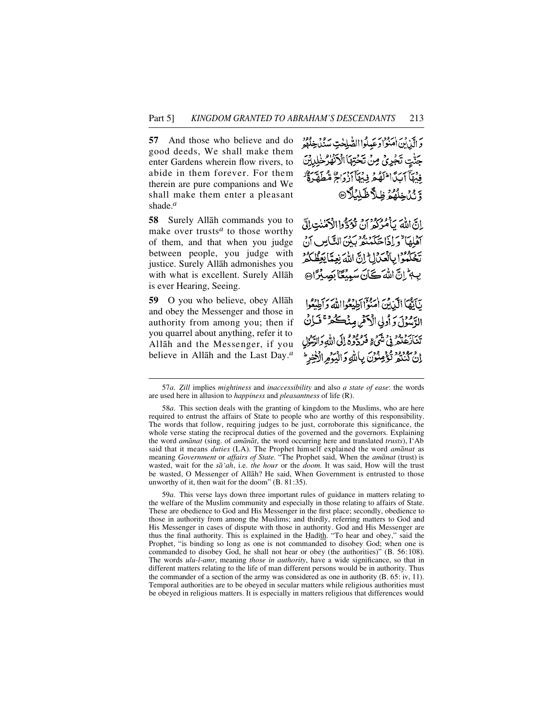**57** And those who believe and do good deeds, We shall make them enter Gardens wherein flow rivers, to abide in them forever. For them therein are pure companions and We shall make them enter a pleasant shade.*<sup>a</sup>*

**5 8** Surely Allåh commands you to make over trusts*<sup>a</sup>* to those worthy of them, and that when you judge between people, you judge with justice. Surely Allåh admonishes you with what is excellent. Surely Allåh is ever Hearing, Seeing.

**59** O you who believe, obey Allåh and obey the Messenger and those in authority from among you; then if you quarrel about anything, refer it to Allåh and the Messenger, if you believe in Allåh and the Last Day.*<sup>a</sup>*

وَالَّذِينَ امْنَوْادَ عَبِدُواالصَّلِحْتِ سَنُدُخِلُوْدَ جَنّْتِ تَجْرِيُّ مِنْ تَحْتِهَا الْآنُهْرُخْلِدِيْنَ فِيْهَآ أَيَدًّا اللَّهُ هُ فِي أَأَذْ ذَاتَهُ قُبْطَةَ وَيُدَ خِلْقُوْ ظِلاَّ ظَلَّكُ

إِنَّ اللَّهَ يَأْمُرُكُمُ أَنْ تُؤَدُّوا الْأَكْمٰنٰتِ إِلَّ أَهْلِهَا "وَإِذَا حَكَمَنْهُ بَيْنَ النَّاسِ أَنْ تَحْكَمُوا بِالْعَكَالِ إِنَّ اللَّهَ نِعِمَّا يَعِظُّكُمْ بِهِمْ إِنَّ اللَّهَ كَانَ سَبِيْعًا بِصِبْرًا @

نَآيَّهَا الَّذِينَ امْنُوْ الْطِيعُواالَّهُ وَأَطِيعُوا الرَّسُوْلَ وَ أُولِي الْأَكْمَٰنِ مِنْكُمْ ۚ فَمَالِنُ يه ابرد ود به در ورود الى الله داد.<br>تنارعتند في شيءٍ فرد ده إلى الله دالري إِنْ كَنْتُمْ تُؤْمِنُوْنَ بِأَلَّهِ وَالْيَوْمِ الْأَخِرِ

59*a*. This verse lays down three important rules of guidance in matters relating to the welfare of the Muslim community and especially in those relating to affairs of State. These are obedience to God and His Messenger in the first place; secondly, obedience to those in authority from among the Muslims; and thirdly, referring matters to God and His Messenger in cases of dispute with those in authority. God and His Messenger are thus the final authority. This is explained in the Hadith. "To hear and obey," said the Prophet, "is binding so long as one is not commanded to disobey God; when one is commanded to disobey God, he shall not hear or obey (the authorities)" (B. 56:108). The words *ulu-l-amr*, meaning *those in authority*, have a wide significance, so that in different matters relating to the life of man different persons would be in authority. Thus the commander of a section of the army was considered as one in authority (B. 65: iv, 11). Temporal authorities are to be obeyed in secular matters while religious authorities must be obeyed in religious matters. It is especially in matters religious that differences would

<sup>57</sup>*a*. *Òill* implies *mightiness* and *inaccessibility* and also *a state of ease*: the words are used here in allusion to *happiness* and *pleasantness* of life (R).

<sup>58</sup>*a*. This section deals with the granting of kingdom to the Muslims, who are here required to entrust the affairs of State to people who are worthy of this responsibility. The words that follow, requiring judges to be just, corroborate this significance, the whole verse stating the reciprocal duties of the governed and the governors. Explaining the word *amånat* (sing. of *amånåt*, the word occurring here and translated *trusts*), I'Ab said that it means *duties* (LA). The Prophet himself explained the word *amanat* as meaning *Government* or *affairs of State*. "The Prophet said, When the *amånat* (trust) is wasted, wait for the  $s\bar{a}$ '*ah*, i.e. *the hour* or the *doom*. It was said, How will the trust be wasted, O Messenger of Allåh? He said, When Government is entrusted to those unworthy of it, then wait for the doom" (B. 81:35).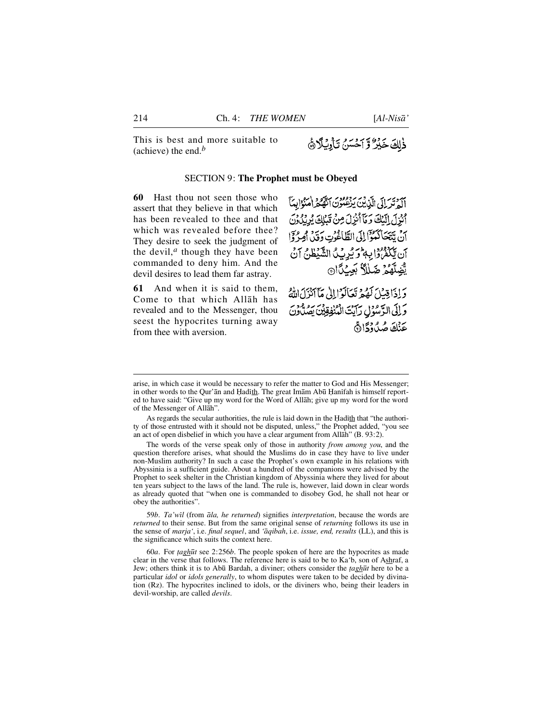This is best and more suitable to (achieve) the end.*<sup>b</sup>*

# ذٰلِكَ خَيْرٌ وَّ أَحْسَنُ تَأْوِيُلًا هَ

#### SECTION 9: **The Prophet must be Obeyed**

**60** Hast thou not seen those who assert that they believe in that which has been revealed to thee and that which was revealed before thee? They desire to seek the judgment of the devil, $a$  though they have been commanded to deny him. And the devil desires to lead them far astray.

**61** And when it is said to them. Come to that which Allåh has revealed and to the Messenger, thou seest the hypocrites turning away from thee with aversion.

م دیر آبی ای در برودر به دو اروایهٔ آ<br>الدتر ای الزمین برعبون الله د امنوایهٔ آ أَنْزَلَ إِلَيْكَ وَمَآَأَنْزِلَ مِنْ قَبْلِكَ يُرِيدُونَ أَنْ بِتَعَاكَّمَوْٓالِلِّي الطَّاغُوُتِ وَقَدْ أَمِرْوَٓا آن يَكْفَرُوْا بِهِ وَيُرِيْدُ الشَّيْطَنُ آنَ يَّضِلَّهُمُ ضَلِّلٌ بَعِيْدًا @

وَإِذَاقِيلَ لَهُمْ تَعَالَوْاإِلَىٰ مَآآئِزَلَ اللَّهُ وَإِلَى الرَّسُوُلِ رَآيَتَ الْمُنْفِقِينَ يَصُلُّونَ عَنْكَ صُدْرُدْدَارِيْ

The words of the verse speak only of those in authority *from among you*, and the question therefore arises, what should the Muslims do in case they have to live under non-Muslim authority? In such a case the Prophet's own example in his relations with Abyssinia is a sufficient guide. About a hundred of the companions were advised by the Prophet to seek shelter in the Christian kingdom of Abyssinia where they lived for about ten years subject to the laws of the land. The rule is, however, laid down in clear words as already quoted that "when one is commanded to disobey God, he shall not hear or obey the authorities".

59*b*. *Ta'wßl* (from *åla, he returned*) signifies *interpretation*, because the words are *returned* to their sense. But from the same original sense of *returning* follows its use in the sense of *marja'*, i.e. *final sequel*, and *'åqibah*, i.e. *issue, end, results* (LL), and this is the significance which suits the context here.

60*a*. For *∆agh∂t* see 2:256*b*. The people spoken of here are the hypocrites as made clear in the verse that follows. The reference here is said to be to Ka'b, son of Ashraf, a Jew; others think it is to Ab∂ Bardah, a diviner; others consider the *∆agh∂t* here to be a particular *idol* or *idols generally*, to whom disputes were taken to be decided by divination (Rz). The hypocrites inclined to idols, or the diviners who, being their leaders in devil-worship, are called *devils*.

arise, in which case it would be necessary to refer the matter to God and His Messenger; in other words to the Qur'ān and Hadith. The great Imām Abū Hanifah is himself reported to have said: "Give up my word for the Word of Allåh; give up my word for the word of the Messenger of Allåh".

As regards the secular authorities, the rule is laid down in the Hadith that "the authority of those entrusted with it should not be disputed, unless," the Prophet added, "you see an act of open disbelief in which you have a clear argument from Allāh" (B. 93:2).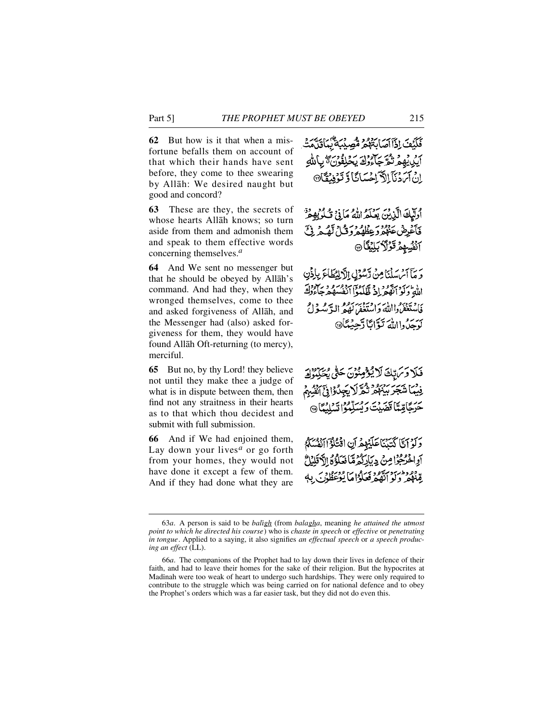**62** But how is it that when a misfortune befalls them on account of that which their hands have sent before, they come to thee swearing by Allåh: We desired naught but good and concord?

**63** These are they, the secrets of whose hearts Allåh knows; so turn aside from them and admonish them and speak to them effective words concerning themselves.*<sup>a</sup>*

**64** And We sent no messenger but that he should be obeyed by Allåh's command. And had they, when they wronged themselves, come to thee and asked forgiveness of Allåh, and the Messenger had (also) asked forgiveness for them, they would have found Allåh Oft-returning (to mercy), merciful.

**65** But no, by thy Lord! they believe not until they make thee a judge of what is in dispute between them, then find not any straitness in their hearts as to that which thou decidest and submit with full submission.

**66** And if We had enjoined them, Lay down your lives*<sup>a</sup>* or go forth from your homes, they would not have done it except a few of them. And if they had done what they are فَكَيۡفَ اِذَآآَصَابَةَهُمۡ مُّصِيۡبَةٌ بِّبَاقَنَّمَتُ أيُرِيْبِهِمْ تُدَّجَأُوكَ يَحْلِفُونَ ۖ بِأَللَّٰهِ انْ آيَ دَنَآ الدَّ اِجْسَانَا وَ تَوْفِيْقَا®

أُولِّيكَ الَّذِينَ يَعْلَمُ اللَّهُ مَا فِي قُبُوبِهِ مِنْ فَأَعْرِضْ عَنْهُمْ وَعِظْهُمْ وَقُبْلُ لَّهُمْ فِيَّ انْفُسِهِمْ قَوْلًا بَلِيْغًا @

وَ مَآ أَسۡ سَلۡنَا مِنۡ دِّسُوۡلِ الْآلِيۡطَاٰءَ بِإِذۡنِ الله وكواتقور وتكلكوا أنفسه مرجا وداء ی دیږی د ۱۰ دی دیږی ده.<br>فاستعفرواالله واستعفرالکه الرّسول بِرْبِرُداللَّهَ نَبَوَّانَا دَّجِيبُنَانَ

فَلَا دَيَرَاتِكَ لَا يُؤْمِنُوْنَ حَقَّىٰ يُخَ فِيضًا شَجَرَ بَيْنَهُمْ تُكَرَّلًا يَجِدُّوْا فِيَ أَنْفُسِهِمْ حَرَجَامِّيَّا تَضَيِّتَ رَئِسَلِّمُوْا تَسْلِيَّا ۞

وَلَوْ أَيَّا كَتَدْيَا عَلَيْهِمْ أَنِ اقْتُلُوَّ أَنْفُسَكُمْ أواخْرُجُوْا مِنْ دِيَارَكُمْ مِّا نَعَلَوْهُ الْأَقْلَامُ وموطن در ورود درون<br>مِّنَهُمْ وَلَوِ أَنَّهُمْ فَعَلَوْاً مَا يُوْعَظُوْنَ

<sup>63</sup>*a*. A person is said to be *balßgh* (from *balagha*, meaning *he attained the utmost point to which he directed his course*) who is *chaste in speech* or *effective* or *penetrating in tongue*. Applied to a saying, it also signifies *an effectual speech* or *a speech producing an effect* (LL).

<sup>66</sup>*a*. The companions of the Prophet had to lay down their lives in defence of their faith, and had to leave their homes for the sake of their religion. But the hypocrites at Madinah were too weak of heart to undergo such hardships. They were only required to contribute to the struggle which was being carried on for national defence and to obey the Prophet's orders which was a far easier task, but they did not do even this.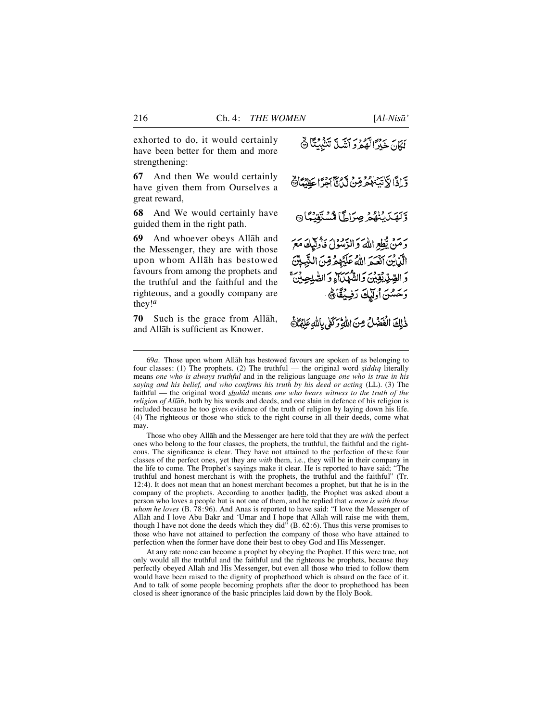exhorted to do, it would certainly have been better for them and more strengthening:

**67** And then We would certainly have given them from Ourselves a great reward,

**68** And We would certainly have guided them in the right path.

**6 9** And whoever obeys Allåh and the Messenger, they are with those upon whom Allåh has bestowed favours from among the prophets and the truthful and the faithful and the righteous, and a goodly company are they!*<sup>a</sup>*

**7 0** Such is the grace from Allåh, and Allåh is sufficient as Knower.

بَدِيرٍ بِهِ وَمِنْ يَدْبِيَةٍ مَذَبِيَّةً ﴾ وَّ إِذَا لَاتِّيَّ هُمُّهُمْ مِّنْ لَّكِ يَا أَجِرًّا عَظِيْمًا هَ وَلَهَدَيْنَهُمْ صِرَاطًا مُسْتَقِيْعًا دَمَنْ يُطِعِ اللهَ وَالرَّسُولُ فَأُولَيْكَ مَعَ الَّذِينَ أَنْعَيْمَ اللَّهُ عَلَيْهِمْ قِنَ النَّبِينَ وَ الصِّدِّيْبِيْقِيْنِيَ وَالشَّهْدَاءِ وَ الصَّلِحِ وَحَسُنَ أُولَيْكَ رَفِيْقَاً ﴾

ذٰلِكَ الْفَضَلُ مِنَ اللَّهِ وَكَلِّي بِاللَّهِ عَلَيْمَاتَ

69*a*. Those upon whom Allåh has bestowed favours are spoken of as belonging to four classes: (1) The prophets. (2) The truthful — the original word *siddiq* literally means *one who is always truthful* and in the religious language *one who is true in his saying and his belief, and who confirms his truth by his deed or acting* (LL). (3) The faithful — the original word *shahid* means *one who bears witness to the truth of the religion of Allåh*, both by his words and deeds, and one slain in defence of his religion is included because he too gives evidence of the truth of religion by laying down his life. (4) The righteous or those who stick to the right course in all their deeds, come what may.

Those who obey Allåh and the Messenger are here told that they are *with* the perfect ones who belong to the four classes, the prophets, the truthful, the faithful and the righteous. The significance is clear. They have not attained to the perfection of these four classes of the perfect ones, yet they are *with* them, i.e., they will be in their company in the life to come. The Prophet's sayings make it clear. He is reported to have said; "The truthful and honest merchant is with the prophets, the truthful and the faithful" (Tr. 12:4). It does not mean that an honest merchant becomes a prophet, but that he is in the company of the prophets. According to another hadith, the Prophet was asked about a person who loves a people but is not one of them, and he replied that *a man is with those whom he loves* (B. 78:96). And Anas is reported to have said: "I love the Messenger of Allåh and I love Ab∂ Bakr and 'Umar and I hope that Allåh will raise me with them, though I have not done the deeds which they did" (B. 62:6). Thus this verse promises to those who have not attained to perfection the company of those who have attained to perfection when the former have done their best to obey God and His Messenger.

At any rate none can become a prophet by obeying the Prophet. If this were true, not only would all the truthful and the faithful and the righteous be prophets, because they perfectly obeyed Allåh and His Messenger, but even all those who tried to follow them would have been raised to the dignity of prophethood which is absurd on the face of it. And to talk of some people becoming prophets after the door to prophethood has been closed is sheer ignorance of the basic principles laid down by the Holy Book.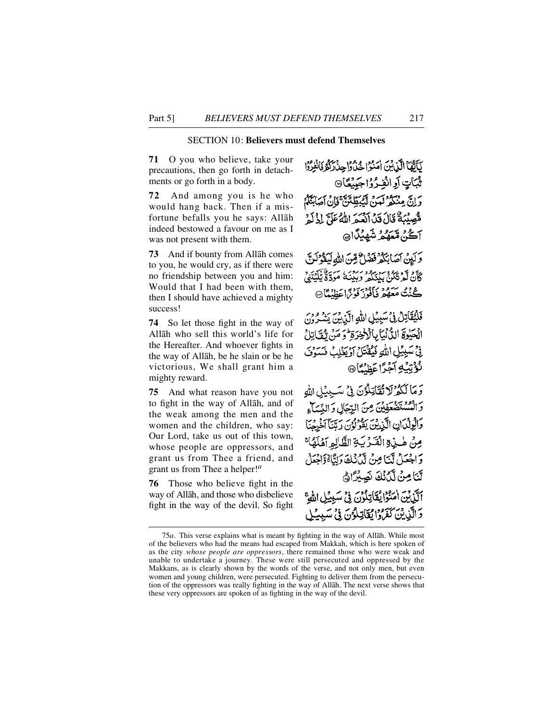# SECTION 10: **Believers must defend Themselves**

**71** O you who believe, take your precautions, then go forth in detachments or go forth in a body.

**7 2** And among you is he who would hang back. Then if a misfortune befalls you he says: Allåh indeed bestowed a favour on me as I was not present with them.

**73** And if bounty from Allåh comes to you, he would cry, as if there were no friendship between you and him: Would that I had been with them, then I should have achieved a mighty success!

**74** So let those fight in the way of Allåh who sell this world's life for the Hereafter. And whoever fights in the way of Allåh, be he slain or be he victorious, We shall grant him a mighty reward.

**75** And what reason have you not to fight in the way of Allåh, and of the weak among the men and the women and the children, who say: Our Lord, take us out of this town, whose people are oppressors, and grant us from Thee a friend, and grant us from Thee a helper!*<sup>a</sup>*

**76** Those who believe fight in the way of Allåh, and those who disbelieve fight in the way of the devil. So fight

لَلَّأَهُمَا الَّذِينَ أُمَنُوا حُذُوا حِبْدَاهُ فَأَنْفِرُوْا ثُبَاتٍ أَوِ انْفِـرُوْاجَبِيْعًا۞ وَإِنَّ مِنْكُمْ لَمَنَّ لَيُبْطِّئَنَّ فَإِنْ آَمَائِيَّكُمْ مُّصِيْبَةٌ قَالَ قِينَ آدْسَمَ اللَّهُ عَلَمَّ إِذْ لَهِ <del>آ</del>ڪُنُ مُعَهُمُ شَهِينَا۞ وَكَبِينَ آصَابِكُمْ فَضَلُّ مِّنَ اللَّهِ لَيَقُوْلَنَّ كَأَنْ لَمْ تَكُنُّ بِيدَكُمْ وَبِيْنَةُ مَوَدَّةٌ يَلْكُنَّنِيُّ ڪُنُتُ مَعَهُمْ فَأَفُوزُ فَوِيَٰٓاعَظِيۡمَا۞ فَلَيُقَاتِلْ فِي سَبِيْلِ اللَّهِ الَّذِينَ يَشْرُونَ الْحَيْوَةَ الدُّنْيَابِالْأَخِرَةِ وَمَنْ يُفَاتِلُ فِيْ سَبِيْلِ اللَّهِ فَيُقْتَلُ أَوْيَغَلِبُ فَسَوْفَ نُؤْتِيُهِ آجُرًاعَظُن**ُ**اً® وَمَا لَكُمُ لَا تُقَاتِلُونَ فِي سَيِيْلِ اللهِ والمستضعفِينَ مِنَ الرِّجَالِ وَالنِّسَاءِ وَالْوِلْدَانِ الَّذِينَ يَقُولُونَ رَبَّنَا آُخْرِجِنَا مِنْ هٰ بِي الْقَرْبَةِ الظَّالِمِ آَهُلَهُا؟ وَاجْعَلْ لَّنَا مِنْ لَدُنُكَ وَلِنَّاءُوَاجْعَلُ لَّنَا مِنْ لَّكَٰنُكَ نَصِيْرًاهُ ٱلَّذِيۡنَ اٰمَنُوۡا یُقَاتِلُوۡنَ فِیۡ سَبِیۡلِ اللَّهِ ۚ وَالَّذِينَ كَفَرَدًا يُقَاتِلُونَ فِي سَبِينِي

<sup>75</sup>*a*. This verse explains what is meant by fighting in the way of Allåh. While most of the believers who had the means had escaped from Makkah, which is here spoken of as the city *whose people are oppressors*, there remained those who were weak and unable to undertake a journey. These were still persecuted and oppressed by the Makkans, as is clearly shown by the words of the verse, and not only men, but even women and young children, were persecuted. Fighting to deliver them from the persecution of the oppressors was really fighting in the way of Allåh. The next verse shows that these very oppressors are spoken of as fighting in the way of the devil.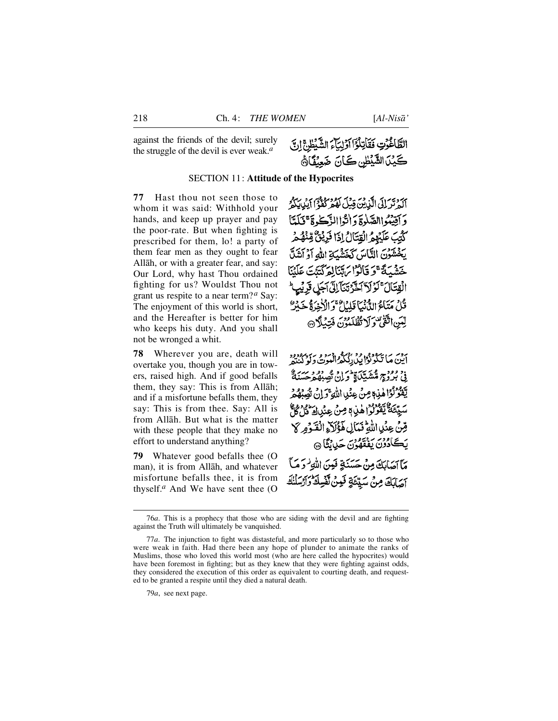against the friends of the devil; surely the struggle of the devil is ever weak.*<sup>a</sup>*

# الطَّاغُونِ فَقَاتِلُوْٓا أَوۡلِيَآءَ الشَّيْطُنَّ إِنَّ كَيْنَ الشَّيْطُنِ كَـَانَ ضَعِيْفًا قَ

## SECTION 11: **Attitude of the Hypocrites**

**77** Hast thou not seen those to whom it was said: Withhold your hands, and keep up prayer and pay the poor-rate. But when fighting is prescribed for them, lo! a party of them fear men as they ought to fear Allåh, or with a greater fear, and say: Our Lord, why hast Thou ordained fighting for us? Wouldst Thou not grant us respite to a near term?*<sup>a</sup>* Say: The enjoyment of this world is short, and the Hereafter is better for him who keeps his duty. And you shall not be wronged a whit.

**78** Wherever you are, death will overtake you, though you are in towers, raised high. And if good befalls them, they say: This is from Allåh; and if a misfortune befalls them, they say: This is from thee. Say: All is from Allåh. But what is the matter with these people that they make no effort to understand anything?

**79** Whatever good befalls thee (O man), it is from Allåh, and whatever misfortune befalls thee, it is from thy self.<sup> $a$ </sup> And We have sent thee (O آكة ترَ إِلَى الَّذِينَ قِيلَ لَهُمْ كُفَّةً ۚ آيَدِينَكُمْ ۖ وَ آقِيْبُواالصَّلْوَةَ وَ اٰتَّوَا الزَّكْبِ ةَ ۚ قَبَلَتَا كَّتِبَ عَلَيْهِمُ الْقِتَالُ إِذَا فَرِيْقٌ مِّنْهُمْ يَخْشَوْنَ النَّاسَ كَخَشْيَةِ اللهِ آوُ أَشَلَّ حَشْبَةً ۚ وَ قَالُوْا بِهِ تَنَالِهِ كَتِئَتَ عَلَيْنَا الْقِتَالَ ۚ لَوۡ لَآ ٱَخَّرۡ تَیَٰٓ ٓاِلَّیۡ ٱِٓجَلِ قَرۡ لَیۡبِ ۖ قُلْ مَتَأْمُ الدُّنْيَا قَلِيْلٌ ۚ وَالْآخِرَةُ جَبِيْرٌ لِّيْيَنِ اتَّقَوْتِهُ وَلَا تُظْلَمُونَ فَتَبَدَّلَاهِ ا

اَيْنَ مَا تَكُوْنُوْا بِيْ رَبِّيكُوالْمُوتِي وَيُوبِرُوْدِهِ فِي بَرْدِجِ مُتَشَبِّيَ) وَإِمْرَاقٍ فَي دَوْدِ حَسَنَةٌ يَّفَوُّلُوْا هٰذِهٖ مِنْ عِنِّدِ اللَّهِ ۖ وَإِنْ تُصِبْهُ مُ سَيِّئَةٌ يَقْوَلُوْ (هٰذِ) مِنْ عِنْدِادَ قُلْ كُلُّ قِنْ عِنْدِ اللَّهِ فَمَالِ هَؤُلَاءِ الْقَوْمِرِ لَا بَڪَادُدُنَ بَعْقَهُونَ جَدِينَگَا ۞ مَآآهَابَكَ مِنْ حَسَنَةٍ فَبِينَ اللَّهِ فَرَمَيْآ أَصَابَكَ مِنْ سَيِّئَةٍ فَبِنْ نَّقْسِكَ وَأَرْسَلْنَكَ

79*a*, see next page.

<sup>7 6</sup>*a*. This is a prophecy that those who are siding with the devil and are fighting against the Truth will ultimately be vanquished.

<sup>77</sup>*a*. The injunction to fight was distasteful, and more particularly so to those who were weak in faith. Had there been any hope of plunder to animate the ranks of Muslims, those who loved this world most (who are here called the hypocrites) would have been foremost in fighting; but as they knew that they were fighting against odds, they considered the execution of this order as equivalent to courting death, and requested to be granted a respite until they died a natural death.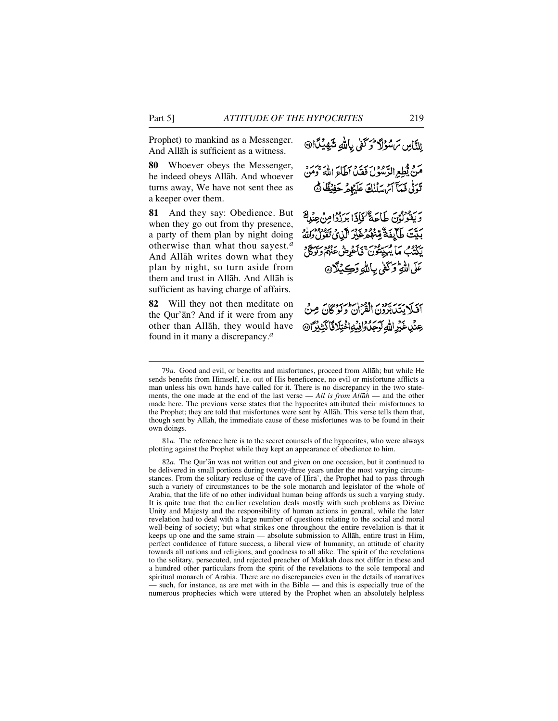Prophet) to mankind as a Messenger. And Allåh is sufficient as a witness.

**80** Whoever obeys the Messenger, he indeed obeys Allåh. And whoever turns away, We have not sent thee as a keeper over them.

81 And they say: Obedience. But when they go out from thy presence, a party of them plan by night doing otherwise than what thou sayest.*<sup>a</sup>* And Allåh writes down what they plan by night, so turn aside from them and trust in Allåh. And Allåh is sufficient as having charge of affairs.

**82** Will they not then meditate on the Qur'ån? And if it were from any other than Allåh, they would have found in it many a discrepancy.*<sup>a</sup>*

لِلنَّاسِ سَسْوُلَكَ حُرَكَفِي بِاللهِ شَهِينَدَا۞

مَنْ يُطِعِ الدَّسْوُلَ فَقَدْ أَطَاءَ اللَّهَ ۚ وَمَن تَوَلَّىٰ فَيَآَامَ سَلَنْكَ عَلَيْهِمْ حَفِيْظًا ﴾

ر رودور<br>ويقولون طاعة فإذا برزوا مِن عِنْدِاً رسم علامة عليه دود برد اين مي برودها.<br>بِدِيَّت طَابِقَةٌ مِّنْهُمْ عَيْرِ الَّذِي تَقُولُ وَلَلَّهُ به دوم ما پېيتون في غږمنې د دوسته د عَلَى اللَّهِ وَكَفَىٰ بِأَللَّهِ وَكِيْلًا۞

أَفَيَلَا يَسَبَّدُونَ الْقَرَانُ وَلَوْكَانَ مِنْ عِنْدِ عَيْرِ اللّهِ لَوَجَدَ وَافِيهِ اخْتِلَا فَا كَثِيْرًا @

81*a*. The reference here is to the secret counsels of the hypocrites, who were always plotting against the Prophet while they kept an appearance of obedience to him.

82*a*. The Qur'ån was not written out and given on one occasion, but it continued to be delivered in small portions during twenty-three years under the most varying circumstances. From the solitary recluse of the cave of Hira', the Prophet had to pass through such a variety of circumstances to be the sole monarch and legislator of the whole of Arabia, that the life of no other individual human being affords us such a varying study. It is quite true that the earlier revelation deals mostly with such problems as Divine Unity and Majesty and the responsibility of human actions in general, while the later revelation had to deal with a large number of questions relating to the social and moral well-being of society; but what strikes one throughout the entire revelation is that it keeps up one and the same strain — absolute submission to Allåh, entire trust in Him, perfect confidence of future success, a liberal view of humanity, an attitude of charity towards all nations and religions, and goodness to all alike. The spirit of the revelations to the solitary, persecuted, and rejected preacher of Makkah does not differ in these and a hundred other particulars from the spirit of the revelations to the sole temporal and spiritual monarch of Arabia. There are no discrepancies even in the details of narratives — such, for instance, as are met with in the Bible — and this is especially true of the numerous prophecies which were uttered by the Prophet when an absolutely helpless

<sup>79</sup>*a*. Good and evil, or benefits and misfortunes, proceed from Allåh; but while He sends benefits from Himself, i.e. out of His beneficence, no evil or misfortune afflicts a man unless his own hands have called for it. There is no discrepancy in the two statements, the one made at the end of the last verse — *All is from Allåh* — and the other made here. The previous verse states that the hypocrites attributed their misfortunes to the Prophet; they are told that misfortunes were sent by Allåh. This verse tells them that, though sent by Allåh, the immediate cause of these misfortunes was to be found in their own doings.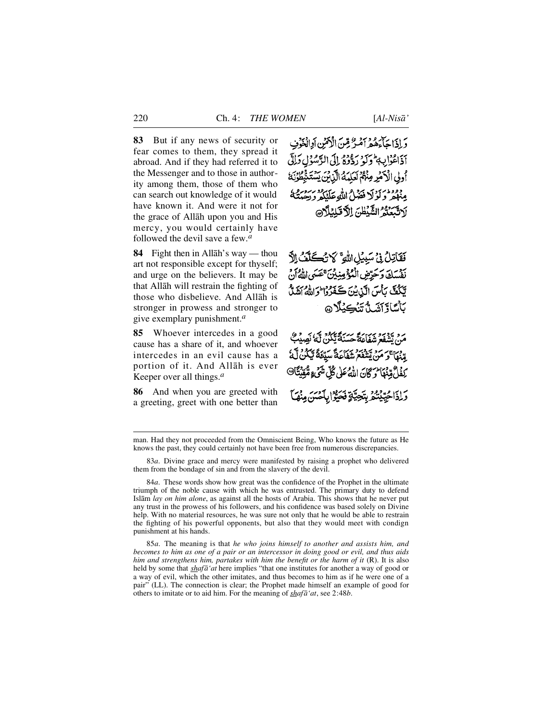**8 3** But if any news of security or fear comes to them, they spread it abroad. And if they had referred it to the Messenger and to those in authority among them, those of them who can search out knowledge of it would have known it. And were it not for the grace of Allåh upon you and His mercy, you would certainly have followed the devil save a few.*<sup>a</sup>*

**84** Fight then in Allah's way — thou art not responsible except for thyself; and urge on the believers. It may be that Allåh will restrain the fighting of those who disbelieve. And Allåh is stronger in prowess and stronger to give exemplary punishment.*<sup>a</sup>*

**85** Whoever intercedes in a good cause has a share of it, and whoever intercedes in an evil cause has a portion of it. And Allåh is ever Keeper over all things.*<sup>a</sup>*

**86** And when you are greeted with a greeting, greet with one better than

وَالِذَاجَاءَهُمْ أَمْرٌ مِّنَ الْأَمْنِ أَوِالْغَوْنِ أَذَاعُوْا بِبِهِمْ وَكَوْ رَدُّودُ إِلَى الرَّسُوْلِ دَالِّي أُولِي الْأَخْيَرِ مِنْهُمْ لَعَلِيَهُ الَّذِينَ يَسْتَهَ ووود وأولا فضام الله عللكه ودحو لَاتَّبَعَنَّهُُ الشَّيْظُنَ اِلاَّكَلِيْلَاِرِ

فَقَاتِلُ فِي سَبِيلِ اللَّهِ ۚ لَا تُكْكُفُ الَّ نَفْسَكَ وَحَرِّضِ الْمُؤْمِنِينَ عَصَى اللَّهُ أَنْ يَكُنَّ بِأَسَ الَّذِينَ كَغَرُوْا وَاللَّهُ أَشَلَّ *ڹ*ٲۺڷڗڗۺڎۺڮڹڷٳ۞

م دي سومبر سي حيث الله عليه الله من الله عنه الله عنه الله عنه الله عنه الله عنه الله عنه الله عنه ا وْرَاءَ ۖ مَنْ يَتَنْقَعَ شَفَاعَةً سَيِّعَةً بَيْكُنَّ لَّهُ لُ مِّنْهَا تَرَكَّانَ اللَّهُ عَلَى كُلِّ شَيْءٍ مُّقِنِيَّا@ وَإِذَاحُيِّلْنُعُ بِتَجِيَّةٍ فَحَيَّوْا بِأَحْيَبَهُ

83*a*. Divine grace and mercy were manifested by raising a prophet who delivered them from the bondage of sin and from the slavery of the devil.

8 5*a*. The meaning is that *he who joins himself to another and assists him, and becomes to him as one of a pair or an intercessor in doing good or evil, and thus aids him and strengthens him, partakes with him the benefit or the harm of it* (R). It is also held by some that *shafå'at* here implies "that one institutes for another a way of good or a way of evil, which the other imitates, and thus becomes to him as if he were one of a pair" (LL). The connection is clear; the Prophet made himself an example of good for others to imitate or to aid him. For the meaning of *shafå'at*, see 2:48*b*.

man. Had they not proceeded from the Omniscient Being, Who knows the future as He knows the past, they could certainly not have been free from numerous discrepancies.

<sup>84</sup>*a*. These words show how great was the confidence of the Prophet in the ultimate triumph of the noble cause with which he was entrusted. The primary duty to defend Islåm *lay on him alone*, as against all the hosts of Arabia. This shows that he never put any trust in the prowess of his followers, and his confidence was based solely on Divine help. With no material resources, he was sure not only that he would be able to restrain the fighting of his powerful opponents, but also that they would meet with condign punishment at his hands.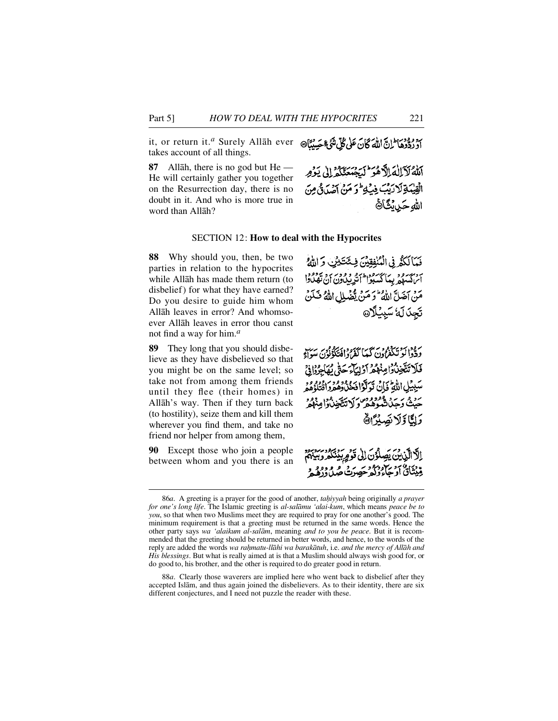it, or return it.*<sup>a</sup>* Surely Allåh ever أَدْ زِدُّوهَا ۖ إِنَّ اللَّهَ كَانَ عَلَى كُلِّ شَيۡ وَحَسِنُنَّا۞ takes account of all things.

**87** Allåh, there is no god but He — He will certainly gather you together on the Resurrection day, there is no doubt in it. And who is more true in word than Allåh?

#### SECTION 12: **How to deal with the Hypocrites**

**88** Why should you, then, be two parties in relation to the hypocrites while Allåh has made them return (to disbelief) for what they have earned? Do you desire to guide him whom Allåh leaves in error? And whomsoever Allåh leaves in error thou canst not find a way for him.*<sup>a</sup>*

**89** They long that you should disbelieve as they have disbelieved so that you might be on the same level; so take not from among them friends until they flee (their homes) in Allåh's way. Then if they turn back (to hostility), seize them and kill them wherever you find them, and take no friend nor helper from among them,

**90** Except those who join a people between whom and you there is an

فَيَأْلَكُمُ فِي الْمُنْفِقِينَ فِيئَكَيْنِ وَاللَّهُ برور وو پهانگر ود اندید و وور برو بروود.<br>ایراکسهه پیما کسبوا آندیپاون آن تهلاوا مَنْ آضَلَّ اللَّهُ ۖ وَ مَنْ يَّضَٰلِل اللَّهُ فَـٰلَنۡ تَجدَلَهُ سَبِيلًا @

أَلَّٰهُ لَآلِكَ الْآَهُوَ ۚ لَيَجْهَدَنَكُمْ إِلَىٰ يَوۡمِر الْقِيْدَةِ لَا رَبِّبَ فِي لِمَا وَ مَنْ أَصْدَقْ مِنَ

ر وداء يحقون كما كذروافتكؤنون سن فَلَا تَتَّخِذُوا مِنْهُمْ أَوْلِيَاءَ حَتَّى يُهَاجِرُوا فِيَ سَبِيْلِ اللَّهِ تَجَابُي تَوَلَّوْا فَيَحْنُدُوهُ وَلَوْمِ وَاقْتَلَهُ هُمُر بِرْبْهِ رَبِّرْ الْمُعْقَّدِهِ مِنْ رَبِّي تَتَّخِيثُوا مِنْهُمْ وَلِمَّا وَلَانَصِيْرَانَ

إِلَّا الَّذِينَ يَصِلُونَ إِلَى قَوْمٍ بِيُنَكُمْ وَبَيْنَهُمْ وِّيْتَأَنَّ أَوْجَاءُوْكُمْ حَصِيرَتْ مِرْهِ وَوَهِ وَ

الله حَبِينَكَاةَ

<sup>86</sup>a. A greeting is a prayer for the good of another, *tahiyyah* being originally a prayer *for one's long life*. The Islamic greeting is *al-salåmu 'alai-kum*, which means *peace be to you*, so that when two Muslims meet they are required to pray for one another's good. The minimum requirement is that a greeting must be returned in the same words. Hence the other party says *wa 'alaikum al-salåm*, meaning *and to you be peace*. But it is recommended that the greeting should be returned in better words, and hence, to the words of the reply are added the words *wa rahmatu-llāhi wa barakātuh*, i.e. *and the mercy of Allāh and His blessings*. But what is really aimed at is that a Muslim should always wish good for, or do good to, his brother, and the other is required to do greater good in return.

<sup>88</sup>*a*. Clearly those waverers are implied here who went back to disbelief after they accepted Islåm, and thus again joined the disbelievers. As to their identity, there are six different conjectures, and I need not puzzle the reader with these.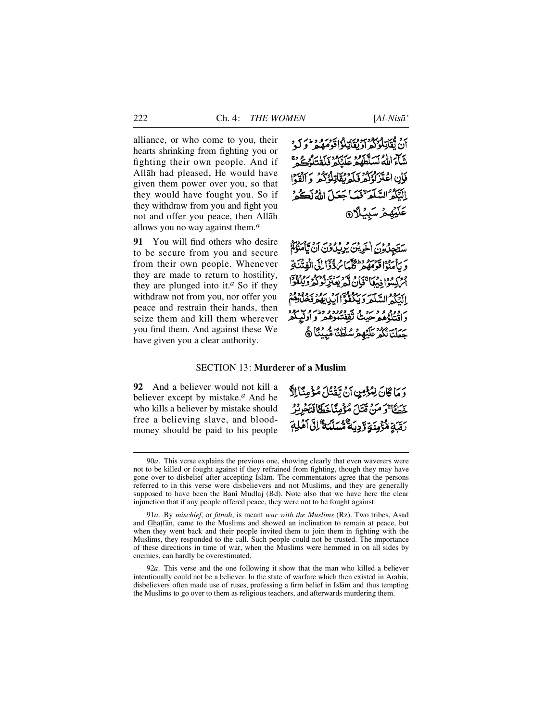alliance, or who come to you, their hearts shrinking from fighting you or fighting their own people. And if Allåh had pleased, He would have given them power over you, so that they would have fought you. So if they withdraw from you and fight you not and offer you peace, then Allåh allows you no way against them.*<sup>a</sup>*

**91** You will find others who desire to be secure from you and secure from their own people. Whenever they are made to return to hostility, they are plunged into it.*<sup>a</sup>* So if they withdraw not from you, nor offer you peace and restrain their hands, then seize them and kill them wherever you find them. And against these We have given you a clear authority.

أَنْ يُقَاتِلُونَهُمْ أَدْيُقَاتِلُوْا قَوْمَهُمْ لَوْ لَهِ مَنْ شَآءَ اللَّهُ لَسَلَّطَهُمْ عَلَيْكُمْ وَلَقِيَلُهُ جَمْ فَإِنِ اعْتَزَ نُؤَكِّمُ فَلَمَّ نُقَاتِلُهُ كُمْ ۚ ذَ ٱلْقَدَّا النِّكُمُ السَّلِّمَ نَعَبًا جَعَلَ اللَّهُ لَكُمْ عَلَيْهِمْ سَبِيْلًا @

ستجدَّدن اخرين يُرِيبادَنَ أَن يَأْمَنُوْمُ يُدْ اقْوَمْهُمْ مُكْلِّيَا مُرْدَّدٌ إِلَى الْفِتْنَةِ ودسمودا ومهاجماته مهمود وسود.<br>ابراهیوا ومهاجمان که بعترلود الذكم السّلَمَ وَيَكُفُّوْ م دولم قرحت تقدیر دوره دام و آرگیباد.<br>د اقتلهٔ هم حنث تقفتهوهمر و اولیبکمر جَعَلْنَا لَكُمْ عَلَيْهِمْ سُلْطُنًا مُّبِيْنَا ﴾

### SECTION 13: **Murderer of a Muslim**

**92** And a believer would not kill a believer except by mistake.*<sup>a</sup>* And he who kills a believer by mistake should free a believing slave, and bloodmoney should be paid to his people

دَمَا كَانَ لِمُؤْمِنٍ أَنْ يَقْتُلَ مُؤْمِنًا اِلَّا خَطَأَ وَمَنْ قَتَلَ مُؤْمِنًا خَطَأَفَتَحْرِيرُ رَقِيَةِ مُّؤْمِنَةِ وَدِيدَةٌ مُّسَلَّمَةٌ ۚ إِنَّى أَهْلِهَمْ

91*a*. By *mischief*, or *fitnah*, is meant *war with the Muslims* (Rz). Two tribes, Asad and Ghaṭfān, came to the Muslims and showed an inclination to remain at peace, but when they went back and their people invited them to join them in fighting with the Muslims, they responded to the call. Such people could not be trusted. The importance of these directions in time of war, when the Muslims were hemmed in on all sides by enemies, can hardly be overestimated.

9 2*a*. This verse and the one following it show that the man who killed a believer intentionally could not be a believer. In the state of warfare which then existed in Arabia, disbelievers often made use of ruses, professing a firm belief in Islåm and thus tempting the Muslims to go over to them as religious teachers, and afterwards murdering them.

<sup>90</sup>*a*. This verse explains the previous one, showing clearly that even waverers were not to be killed or fought against if they refrained from fighting, though they may have gone over to disbelief after accepting Islåm. The commentators agree that the persons referred to in this verse were disbelievers and not Muslims, and they are generally supposed to have been the Bani Mudlaj (Bd). Note also that we have here the clear injunction that if any people offered peace, they were not to be fought against.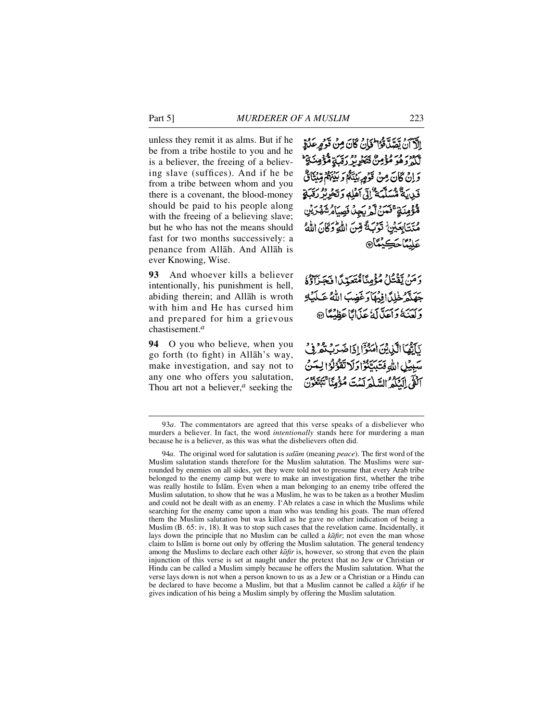unless they remit it as alms. But if he be from a tribe hostile to you and he is a believer, the freeing of a believing slave (suffices). And if he be from a tribe between whom and you there is a covenant, the blood-money should be paid to his people along with the freeing of a believing slave; but he who has not the means should fast for two months successively: a penance from Allåh. And Allåh is ever Knowing, Wise.

**93** And whoever kills a believer intentionally, his punishment is hell, abiding therein; and Allåh is wroth with him and He has cursed him and prepared for him a grievous chastisement.*<sup>a</sup>*

**94** O you who believe, when you go forth (to fight) in Allåh's way, make investigation, and say not to any one who offers you salutation, Thou art not a believer,*<sup>a</sup>* seeking the

الآآن يَصَدَّوْاللهَانُ كَانَ مِنْ قَرْمٍ عَلَيْهِ لَّكُمْ وَهُوَ مُؤْمِنٌ فَيَحْرِيدُ رَبِّبٍ مُّؤْمِنَـٰ قَا وَإِنْ كَانَ مِنْ قَوْمِ بِيُنَكُمْ وَبَيْنَهُمْ قِيْنَانٌ فَرِيدَةٌ مُسَلَّمَةٌ إِلَى أَهْلِهِ وَتَخْرِيْرُ رَقَبَةٍ مُّؤْمِنَةٍ ۚ فَنَنْ لَّمْ يَجِدُ فَصِيَامُ شَهْرَيْنِ مُتَتَابِعَيْنِ تَوَبَّةً مِّنَ اللَّهِ وَكَانَ اللَّهُ **عَلَيْمَاحَكِيْمَاْ®** 

دَمَنْ يَقْتُلْ مُؤْمِنًا مُّتَعَبِّيًّا فَجَزَاؤُهُ جَهَنَّرُ لِحُلِّ افِيهَا وَغَضِبَ اللَّهُ عَكَيْلِ وَلَعَنَهُ وَاَعَدَّلْكَ عَذَانًا عَظِنْتًا ۞

يَأْتُمَا الَّذِينَ هَنْدٌوْ إِذَا ضَدَبَتْهُ رُبِّي بِيِّلِ اللَّهِ فَتَيَبَّتَنُوْا وَلَا تَقْوُلُوْا لِيَتَنَّ آلَقْي الْنَكَهُ السَّلْمَ لَسْتَ مُؤْمِنًا ۚ

<sup>9 3</sup>*a*. The commentators are agreed that this verse speaks of a disbeliever who murders a believer. In fact, the word *intentionally* stands here for murdering a man because he is a believer, as this was what the disbelievers often did.

<sup>94</sup>*a*. The original word for salutation is *salām* (meaning *peace*). The first word of the Muslim salutation stands therefore for the Muslim salutation. The Muslims were surrounded by enemies on all sides, yet they were told not to presume that every Arab tribe belonged to the enemy camp but were to make an investigation first, whether the tribe was really hostile to Islåm. Even when a man belonging to an enemy tribe offered the Muslim salutation, to show that he was a Muslim, he was to be taken as a brother Muslim and could not be dealt with as an enemy. I'Ab relates a case in which the Muslims while searching for the enemy came upon a man who was tending his goats. The man offered them the Muslim salutation but was killed as he gave no other indication of being a Muslim (B. 65: iv, 18). It was to stop such cases that the revelation came. Incidentally, it lays down the principle that no Muslim can be called a *kafir*; not even the man whose claim to Islåm is borne out only by offering the Muslim salutation. The general tendency among the Muslims to declare each other *kafir* is, however, so strong that even the plain injunction of this verse is set at naught under the pretext that no Jew or Christian or Hindu can be called a Muslim simply because he offers the Muslim salutation. What the verse lays down is not when a person known to us as a Jew or a Christian or a Hindu can be declared to have become a Muslim, but that a Muslim cannot be called a *kafir* if he gives indication of his being a Muslim simply by offering the Muslim salutation.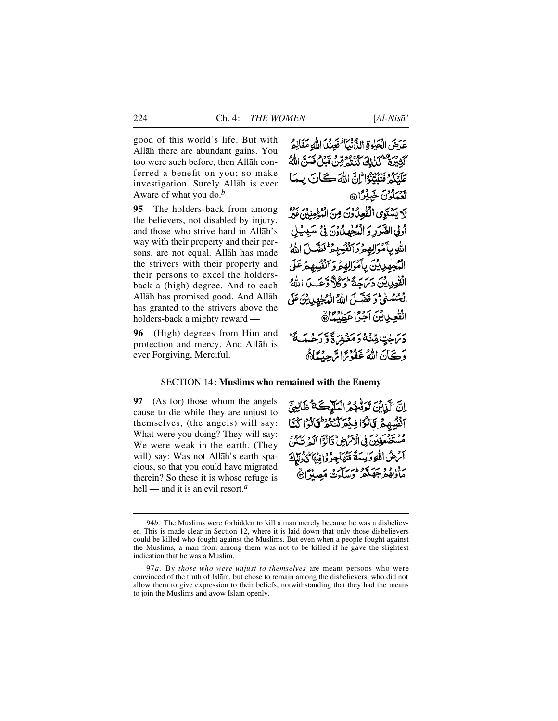good of this world's life. But with Allåh there are abundant gains. You too were such before, then Allåh conferred a benefit on you; so make investigation. Surely Allåh is ever Aware of what you do.*<sup>b</sup>*

**95** The holders-back from among the believers, not disabled by injury, and those who strive hard in Allåh's way with their property and their persons, are not equal. Allåh has made the strivers with their property and their persons to excel the holdersback a (high) degree. And to each Allåh has promised good. And Allåh has granted to the strivers above the holders-back a mighty reward —

**96** (High) degrees from Him and protection and mercy. And Allåh is ever Forgiving, Merciful.

عَدَضَ الْحَلِوةِ اللَّهِ بْيَأْ فَعِنْدَا اللَّهِ مَغَانِعُهُ كَتَبْيَرَةٌ فَكَنَاكَ كَنْنَهُمْ قِنْ قَبَلُ فَيَنَّ اللَّهُ عَلَّنُكُمْ فَتَتَتَبَعُوا اللَّهَ اللَّهُ كُنَّاتٍ بِ تَعْبَلُوْنَ خَبِيْرًا

لَا يَسْتَوِى الْقُعِيْدُوْنَ مِنَ الْبُغْمِنِينَ عَيْرُ أولى الصَّرَرِ وَ الْمُجْهِدُ وَنَ فِي سَيِبِيْلِ الله بأمْوَالِهِمْ وَأَنْفُسِهِمْ فَضَلَّ اللَّهُ الْمُجْهِدِيِينَ بِأَمْوَالِهِمْ وَآنْفُسِهِمْ عَلَى الْفْعِدِينْ دَيْرَ حَةً تَوَكُلاً وَعَبِكَ اللَّهُ الْحُسْنٰى وَ فَضَّلَ اللَّهُ الْهُجُهِدِينَ عَلَى القعويين أجرًا عَظِيْمًا دَيْنَ جْنُهُ وَمَغْفِرَاةً وَرَحْبَهَ فَلْ وَكَانَ اللَّهُ غَفْدُيَّ ابْرَجِينَاهُ،

#### SECTION 14: **Muslims who remained with the Enemy**

**97** (As for) those whom the angels cause to die while they are unjust to themselves, (the angels) will say: What were you doing? They will say: We were weak in the earth. (They will) say: Was not Allåh's earth spacious, so that you could have migrated therein? So these it is whose refuge is hell — and it is an evil resort <sup>*a*</sup>

انَّ الَّذِينَ تَوَفَّهُمُ الْعَلَيْكَ تَأْطَالِعَ أَنْفُسِهِمْ قَالَوْا فِيْعَرَكْنُنْهُمْ قَالَوْا كُنَّا مْ يَدْمَنَّ يَوْمِينَ فِي الْأَمْرَضِ قَالَوْاً آلَهُ تَكُنُّ آثر صُ اللَّهِ وَاسِعَةً فَتُهَاجِرُوا فِيهَا كَأَدِيِّلَهِ رد، د د سرورسد و به در داد.<br>مأديفهر جهنگر وساءت مصدرا

<sup>94</sup>*b*. The Muslims were forbidden to kill a man merely because he was a disbeliever. This is made clear in Section 12, where it is laid down that only those disbelievers could be killed who fought against the Muslims. But even when a people fought against the Muslims, a man from among them was not to be killed if he gave the slightest indication that he was a Muslim.

<sup>9 7</sup>*a*. By *those who were unjust to themselves* are meant persons who were convinced of the truth of Islåm, but chose to remain among the disbelievers, who did not allow them to give expression to their beliefs, notwithstanding that they had the means to join the Muslims and avow Islåm openly.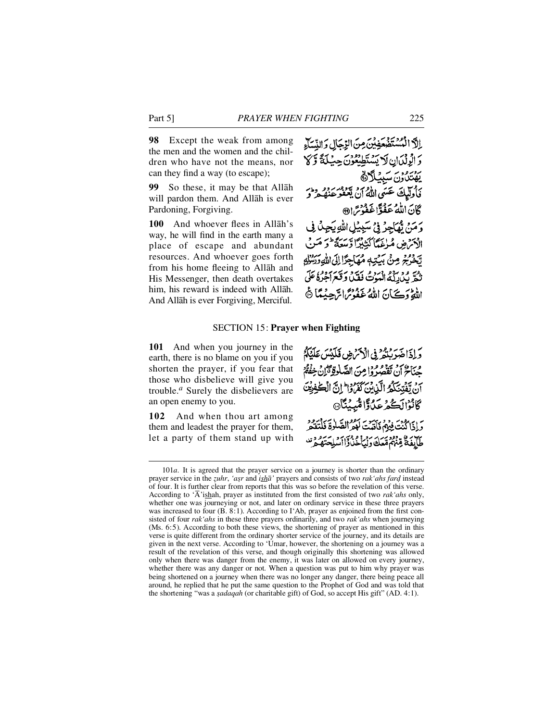**98** Except the weak from among the men and the women and the children who have not the means, nor can they find a way (to escape);

**99** So these, it may be that Allah will pardon them. And Allåh is ever Pardoning, Forgiving.

**100** And whoever flees in Allah's way, he will find in the earth many a place of escape and abundant resources. And whoever goes forth from his home fleeing to Allåh and His Messenger, then death overtakes him, his reward is indeed with Allåh. And Allåh is ever Forgiving, Merciful.

# SECTION 15: **Prayer when Fighting**

**101** And when you journey in the earth, there is no blame on you if you shorten the prayer, if you fear that those who disbelieve will give you trouble.<sup>*a*</sup> Surely the disbelievers are an open enemy to you.

102 And when thou art among them and leadest the prayer for them, let a party of them stand up with وَ إِذَا هُدَ رَبُّهُ فِي الْأَمَرُ هِي فَلَيْتِينَ عَلَيْكُمْ مِنَاحٌ أَنْ تَفْصِرُوا مِنَ الصَّلْوَةِ تَزَانُ خِفْقُ أَن يَّفَتِنَكُمُ الَّذِينَ كَفَرُوْا إِنَّ الْكَفِرِيْنَ ڴٲڹؗۯٵڸؘڴؽ؏ڮٲڐٵۺ۠ڽؽؘڹ<sub>ؖ</sub>ٵ۞ وَإِذَا كُنْتَ فِيهِمْ فَآَقِيتَ لَوْهِ الصَّلَوٰةَ فَلْتَقُو طَأْبِفَةٌ قِنْهُمْ مَّعَكَ وَلَمَأْخُذُواْ اَسْلِحَتَّهُ هُرٌّ

<sup>101</sup>*a*. It is agreed that the prayer service on a journey is shorter than the ordinary prayer service in the *zuhr*, 'asr and *isha*' prayers and consists of two *rak* 'ahs fard instead of four. It is further clear from reports that this was so before the revelation of this verse. According to ' $\overline{A}$ 'ishah, prayer as instituted from the first consisted of two *rak 'ahs* only, whether one was journeying or not, and later on ordinary service in these three prayers was increased to four  $(B, 8:1)$ . According to I'Ab, prayer as enjoined from the first consisted of four *rak' ahs* in these three prayers ordinarily, and two *rak' ahs* when journeying (Ms. 6:5). According to both these views, the shortening of prayer as mentioned in this verse is quite different from the ordinary shorter service of the journey, and its details are given in the next verse. According to 'Umar, however, the shortening on a journey was a result of the revelation of this verse, and though originally this shortening was allowed only when there was danger from the enemy, it was later on allowed on every journey, whether there was any danger or not. When a question was put to him why prayer was being shortened on a journey when there was no longer any danger, there being peace all around, he replied that he put the same question to the Prophet of God and was told that the shortening "was a *sadaqah* (or charitable gift) of God, so accept His gift" (AD. 4:1).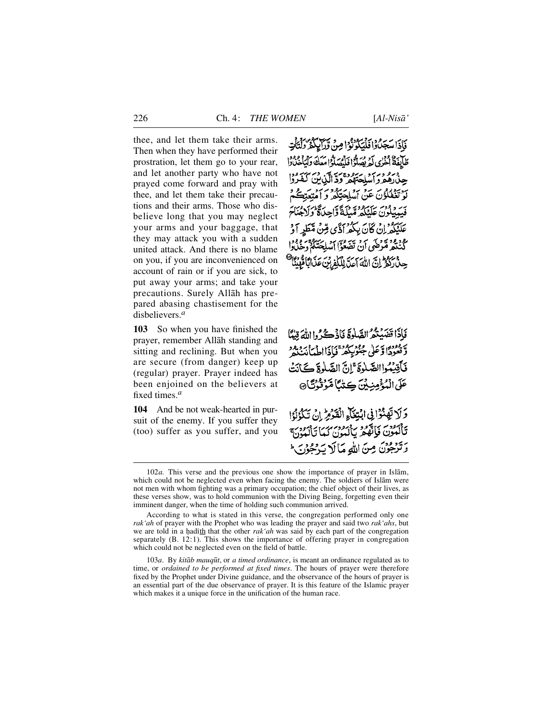thee, and let them take their arms. Then when they have performed their prostration, let them go to your rear, and let another party who have not prayed come forward and pray with thee, and let them take their precautions and their arms. Those who disbelieve long that you may neglect your arms and your baggage, that they may attack you with a sudden united attack. And there is no blame on you, if you are inconvenienced on account of rain or if you are sick, to put away your arms; and take your precautions. Surely Allåh has prepared abasing chastisement for the disbelievers.*<sup>a</sup>*

**103** So when you have finished the prayer, remember Allåh standing and sitting and reclining. But when you are secure (from danger) keep up (regular) prayer. Prayer indeed has been enjoined on the believers at fixed times.*<sup>a</sup>*

**104** And be not weak-hearted in pursuit of the enemy. If you suffer they (too) suffer as you suffer, and you

دْا فَلْيَكُونُوْا مِنْ وَرَايِكُمْ دَلْتَأْتِ لَّهُ! فَأَمْهَدَلَّهُ! مَعَكَ دَلْمَاجُدًا!! حَقِظَةً وَدَّ الَّذِينَ رون عن أسلِحَتِكُمْ وَ أُمَّ نَ عَلَيْكُمْ مَّيْلَةً وَّاحِدَةً عَلَّنْكُمْ إِنْ كَانَ بِكُمْ أَذَّى مِّنْ مَّطَرِ أَوْ گُنْنَهُمْ مُّرْضَى أَنْ تَضْعُوْٓا أَسْلِحَتَكُمْ ۚ حِينْ رَكْزُ إِنَّ اللَّهَ أَعَدَّ لِلْكَفِّرْتِ عَذَ

فَإِذَا قَضَيْتُمُ الصَّلُوةَ فَأَذْكُرُوا اللَّهَ قِيلًا وَقُعُودًا وَعَلَى جُنُوبِيَعْمَةِ وَاَذَاالَّهُ بِأَبْرَبِيْدِهِ فَأَقِيَٰتُواالصَّلْوَةَ ۚ إِنَّ الصَّلْوةَ كَانَتُ عَلَى الْمُؤْمِنِينَ ڪِتٰمَا مَّوَتُوُدُّ)۞

وَلَا تَهَنَّوْا فِى ابْتِغَاءِ الْقَوْمِ إِنْ تَكْوُنُوا دفيودس المحود وبرود برين برودسه<br>تألمون فإنّفهر بالمون كيا تألمون وترجون مِنَ اللهِ مَالَا يَرْجُوْنَ

According to what is stated in this verse, the congregation performed only one *rak'ah* of prayer with the Prophet who was leading the prayer and said two *rak'ahs*, but we are told in a hadith that the other *rak'ah* was said by each part of the congregation separately (B. 12:1). This shows the importance of offering prayer in congregation which could not be neglected even on the field of battle.

103*a*. By *kitåb mauq∂t*, or *a timed ordinance*, is meant an ordinance regulated as to time, or *ordained to be performed at fixed times*. The hours of prayer were therefore fixed by the Prophet under Divine guidance, and the observance of the hours of prayer is an essential part of the due observance of prayer. It is this feature of the Islamic prayer which makes it a unique force in the unification of the human race.

<sup>102</sup>*a*. This verse and the previous one show the importance of prayer in Islam, which could not be neglected even when facing the enemy. The soldiers of Islåm were not men with whom fighting was a primary occupation; the chief object of their lives, as these verses show, was to hold communion with the Diving Being, forgetting even their imminent danger, when the time of holding such communion arrived.